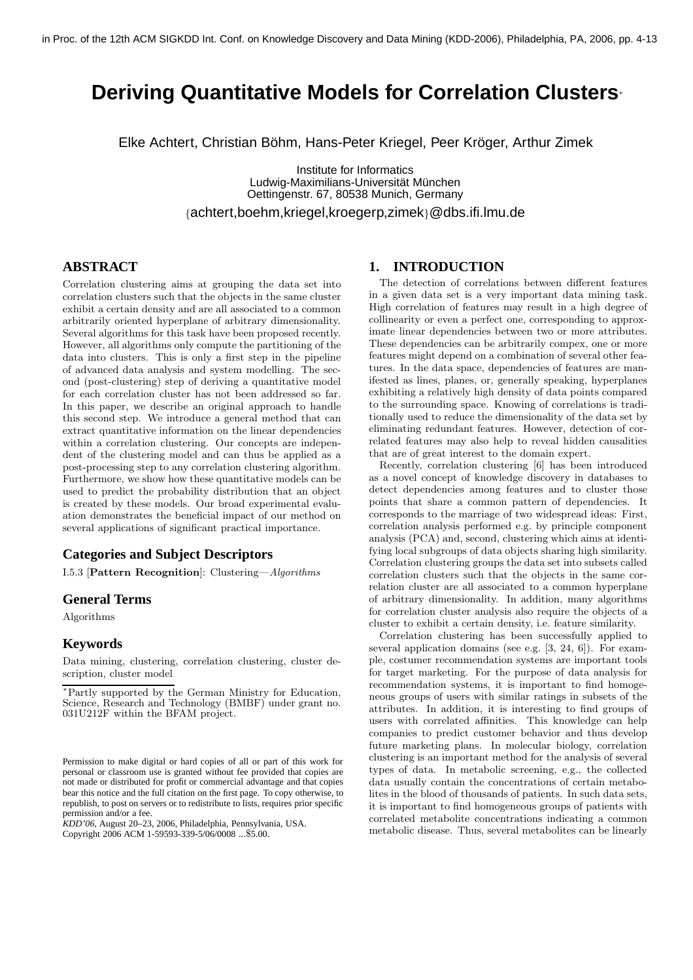# **Deriving Quantitative Models for Correlation Clusters**<sup>∗</sup>

Elke Achtert, Christian Böhm, Hans-Peter Kriegel, Peer Kröger, Arthur Zimek

Institute for Informatics Ludwig-Maximilians-Universität München Oettingenstr. 67, 80538 Munich, Germany {achtert,boehm,kriegel,kroegerp,zimek}@dbs.ifi.lmu.de

# **ABSTRACT**

Correlation clustering aims at grouping the data set into correlation clusters such that the objects in the same cluster exhibit a certain density and are all associated to a common arbitrarily oriented hyperplane of arbitrary dimensionality. Several algorithms for this task have been proposed recently. However, all algorithms only compute the partitioning of the data into clusters. This is only a first step in the pipeline of advanced data analysis and system modelling. The second (post-clustering) step of deriving a quantitative model for each correlation cluster has not been addressed so far. In this paper, we describe an original approach to handle this second step. We introduce a general method that can extract quantitative information on the linear dependencies within a correlation clustering. Our concepts are independent of the clustering model and can thus be applied as a post-processing step to any correlation clustering algorithm. Furthermore, we show how these quantitative models can be used to predict the probability distribution that an object is created by these models. Our broad experimental evaluation demonstrates the beneficial impact of our method on several applications of significant practical importance.

## **Categories and Subject Descriptors**

I.5.3 [**Pattern Recognition**]: Clustering—*Algorithms*

#### **General Terms**

Algorithms

## **Keywords**

Data mining, clustering, correlation clustering, cluster description, cluster model

*KDD'06,* August 20–23, 2006, Philadelphia, Pennsylvania, USA. Copyright 2006 ACM 1-59593-339-5/06/0008 ...\$5.00.

# **1. INTRODUCTION**

The detection of correlations between different features in a given data set is a very important data mining task. High correlation of features may result in a high degree of collinearity or even a perfect one, corresponding to approximate linear dependencies between two or more attributes. These dependencies can be arbitrarily compex, one or more features might depend on a combination of several other features. In the data space, dependencies of features are manifested as lines, planes, or, generally speaking, hyperplanes exhibiting a relatively high density of data points compared to the surrounding space. Knowing of correlations is traditionally used to reduce the dimensionality of the data set by eliminating redundant features. However, detection of correlated features may also help to reveal hidden causalities that are of great interest to the domain expert.

Recently, correlation clustering [6] has been introduced as a novel concept of knowledge discovery in databases to detect dependencies among features and to cluster those points that share a common pattern of dependencies. It corresponds to the marriage of two widespread ideas: First, correlation analysis performed e.g. by principle component analysis (PCA) and, second, clustering which aims at identifying local subgroups of data objects sharing high similarity. Correlation clustering groups the data set into subsets called correlation clusters such that the objects in the same correlation cluster are all associated to a common hyperplane of arbitrary dimensionality. In addition, many algorithms for correlation cluster analysis also require the objects of a cluster to exhibit a certain density, i.e. feature similarity.

Correlation clustering has been successfully applied to several application domains (see e.g. [3, 24, 6]). For example, costumer recommendation systems are important tools for target marketing. For the purpose of data analysis for recommendation systems, it is important to find homogeneous groups of users with similar ratings in subsets of the attributes. In addition, it is interesting to find groups of users with correlated affinities. This knowledge can help companies to predict customer behavior and thus develop future marketing plans. In molecular biology, correlation clustering is an important method for the analysis of several types of data. In metabolic screening, e.g., the collected data usually contain the concentrations of certain metabolites in the blood of thousands of patients. In such data sets, it is important to find homogeneous groups of patients with correlated metabolite concentrations indicating a common metabolic disease. Thus, several metabolites can be linearly

<sup>∗</sup>Partly supported by the German Ministry for Education, Science, Research and Technology (BMBF) under grant no. 031U212F within the BFAM project.

Permission to make digital or hard copies of all or part of this work for personal or classroom use is granted without fee provided that copies are not made or distributed for profit or commercial advantage and that copies bear this notice and the full citation on the first page. To copy otherwise, to republish, to post on servers or to redistribute to lists, requires prior specific permission and/or a fee.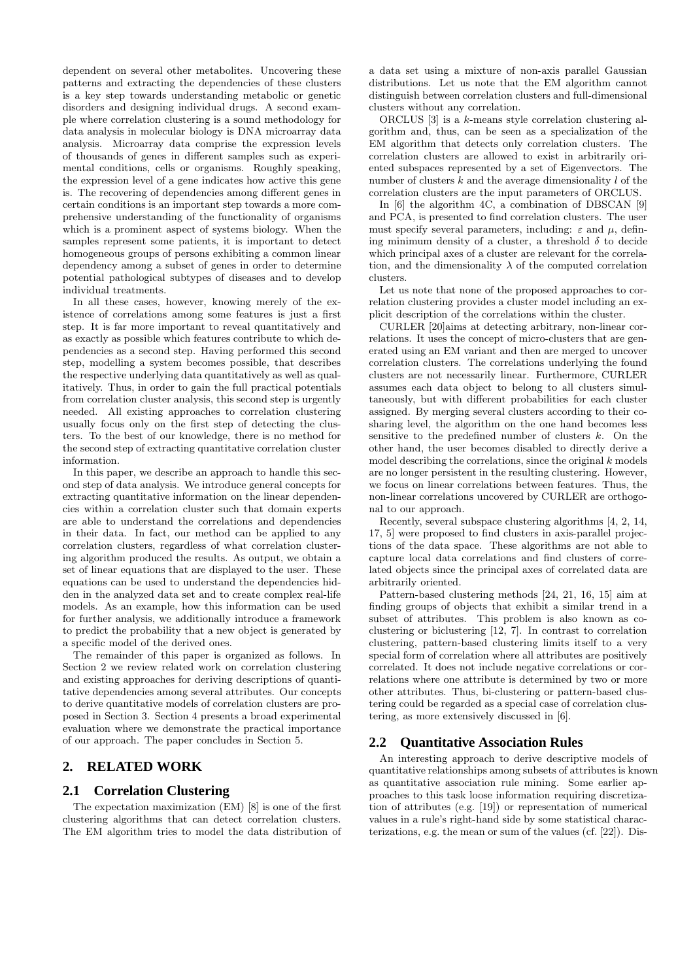dependent on several other metabolites. Uncovering these patterns and extracting the dependencies of these clusters is a key step towards understanding metabolic or genetic disorders and designing individual drugs. A second example where correlation clustering is a sound methodology for data analysis in molecular biology is DNA microarray data analysis. Microarray data comprise the expression levels of thousands of genes in different samples such as experimental conditions, cells or organisms. Roughly speaking, the expression level of a gene indicates how active this gene is. The recovering of dependencies among different genes in certain conditions is an important step towards a more comprehensive understanding of the functionality of organisms which is a prominent aspect of systems biology. When the samples represent some patients, it is important to detect homogeneous groups of persons exhibiting a common linear dependency among a subset of genes in order to determine potential pathological subtypes of diseases and to develop individual treatments.

In all these cases, however, knowing merely of the existence of correlations among some features is just a first step. It is far more important to reveal quantitatively and as exactly as possible which features contribute to which dependencies as a second step. Having performed this second step, modelling a system becomes possible, that describes the respective underlying data quantitatively as well as qualitatively. Thus, in order to gain the full practical potentials from correlation cluster analysis, this second step is urgently needed. All existing approaches to correlation clustering usually focus only on the first step of detecting the clusters. To the best of our knowledge, there is no method for the second step of extracting quantitative correlation cluster information.

In this paper, we describe an approach to handle this second step of data analysis. We introduce general concepts for extracting quantitative information on the linear dependencies within a correlation cluster such that domain experts are able to understand the correlations and dependencies in their data. In fact, our method can be applied to any correlation clusters, regardless of what correlation clustering algorithm produced the results. As output, we obtain a set of linear equations that are displayed to the user. These equations can be used to understand the dependencies hidden in the analyzed data set and to create complex real-life models. As an example, how this information can be used for further analysis, we additionally introduce a framework to predict the probability that a new object is generated by a specific model of the derived ones.

The remainder of this paper is organized as follows. In Section 2 we review related work on correlation clustering and existing approaches for deriving descriptions of quantitative dependencies among several attributes. Our concepts to derive quantitative models of correlation clusters are proposed in Section 3. Section 4 presents a broad experimental evaluation where we demonstrate the practical importance of our approach. The paper concludes in Section 5.

# **2. RELATED WORK**

# **2.1 Correlation Clustering**

The expectation maximization (EM) [8] is one of the first clustering algorithms that can detect correlation clusters. The EM algorithm tries to model the data distribution of

a data set using a mixture of non-axis parallel Gaussian distributions. Let us note that the EM algorithm cannot distinguish between correlation clusters and full-dimensional clusters without any correlation.

ORCLUS [3] is a k-means style correlation clustering algorithm and, thus, can be seen as a specialization of the EM algorithm that detects only correlation clusters. The correlation clusters are allowed to exist in arbitrarily oriented subspaces represented by a set of Eigenvectors. The number of clusters  $k$  and the average dimensionality  $l$  of the correlation clusters are the input parameters of ORCLUS.

In [6] the algorithm 4C, a combination of DBSCAN [9] and PCA, is presented to find correlation clusters. The user must specify several parameters, including:  $\varepsilon$  and  $\mu$ , defining minimum density of a cluster, a threshold  $\delta$  to decide which principal axes of a cluster are relevant for the correlation, and the dimensionality  $\lambda$  of the computed correlation clusters.

Let us note that none of the proposed approaches to correlation clustering provides a cluster model including an explicit description of the correlations within the cluster.

CURLER [20]aims at detecting arbitrary, non-linear correlations. It uses the concept of micro-clusters that are generated using an EM variant and then are merged to uncover correlation clusters. The correlations underlying the found clusters are not necessarily linear. Furthermore, CURLER assumes each data object to belong to all clusters simultaneously, but with different probabilities for each cluster assigned. By merging several clusters according to their cosharing level, the algorithm on the one hand becomes less sensitive to the predefined number of clusters  $k$ . On the other hand, the user becomes disabled to directly derive a model describing the correlations, since the original  $k$  models are no longer persistent in the resulting clustering. However, we focus on linear correlations between features. Thus, the non-linear correlations uncovered by CURLER are orthogonal to our approach.

Recently, several subspace clustering algorithms [4, 2, 14, 17, 5] were proposed to find clusters in axis-parallel projections of the data space. These algorithms are not able to capture local data correlations and find clusters of correlated objects since the principal axes of correlated data are arbitrarily oriented.

Pattern-based clustering methods [24, 21, 16, 15] aim at finding groups of objects that exhibit a similar trend in a subset of attributes. This problem is also known as coclustering or biclustering [12, 7]. In contrast to correlation clustering, pattern-based clustering limits itself to a very special form of correlation where all attributes are positively correlated. It does not include negative correlations or correlations where one attribute is determined by two or more other attributes. Thus, bi-clustering or pattern-based clustering could be regarded as a special case of correlation clustering, as more extensively discussed in [6].

# **2.2 Quantitative Association Rules**

An interesting approach to derive descriptive models of quantitative relationships among subsets of attributes is known as quantitative association rule mining. Some earlier approaches to this task loose information requiring discretization of attributes (e.g. [19]) or representation of numerical values in a rule's right-hand side by some statistical characterizations, e.g. the mean or sum of the values (cf. [22]). Dis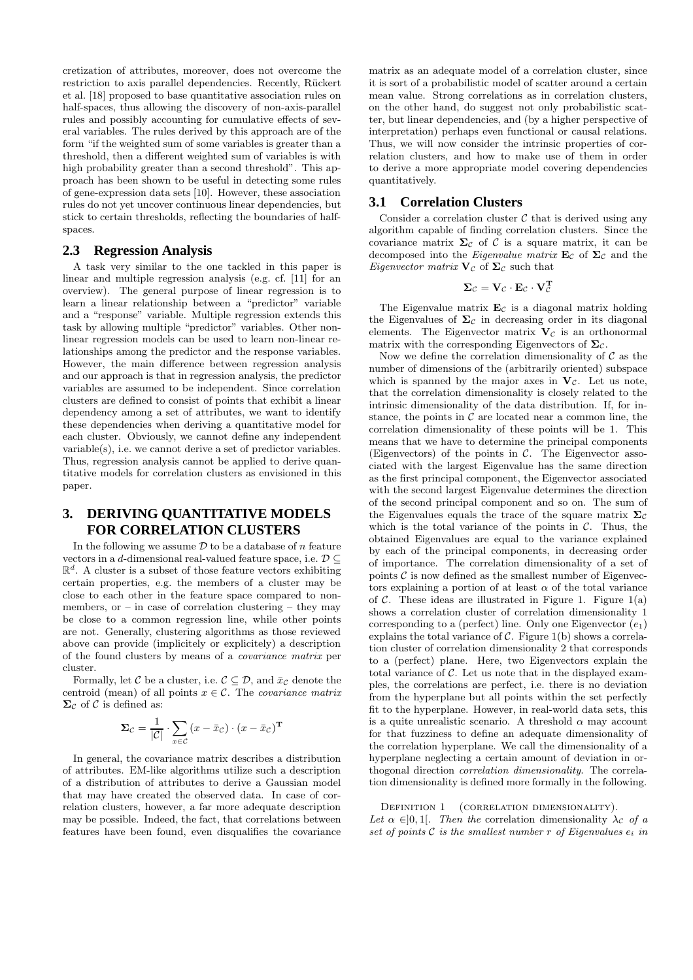cretization of attributes, moreover, does not overcome the restriction to axis parallel dependencies. Recently, Rückert et al. [18] proposed to base quantitative association rules on half-spaces, thus allowing the discovery of non-axis-parallel rules and possibly accounting for cumulative effects of several variables. The rules derived by this approach are of the form "if the weighted sum of some variables is greater than a threshold, then a different weighted sum of variables is with high probability greater than a second threshold". This approach has been shown to be useful in detecting some rules of gene-expression data sets [10]. However, these association rules do not yet uncover continuous linear dependencies, but stick to certain thresholds, reflecting the boundaries of halfspaces.

#### **2.3 Regression Analysis**

A task very similar to the one tackled in this paper is linear and multiple regression analysis (e.g. cf. [11] for an overview). The general purpose of linear regression is to learn a linear relationship between a "predictor" variable and a "response" variable. Multiple regression extends this task by allowing multiple "predictor" variables. Other nonlinear regression models can be used to learn non-linear relationships among the predictor and the response variables. However, the main difference between regression analysis and our approach is that in regression analysis, the predictor variables are assumed to be independent. Since correlation clusters are defined to consist of points that exhibit a linear dependency among a set of attributes, we want to identify these dependencies when deriving a quantitative model for each cluster. Obviously, we cannot define any independent variable(s), i.e. we cannot derive a set of predictor variables. Thus, regression analysis cannot be applied to derive quantitative models for correlation clusters as envisioned in this paper.

# **3. DERIVING QUANTITATIVE MODELS FOR CORRELATION CLUSTERS**

In the following we assume  $D$  to be a database of n feature vectors in a d-dimensional real-valued feature space, i.e.  $\mathcal{D} \subseteq$  $\mathbb{R}^d$ . A cluster is a subset of those feature vectors exhibiting certain properties, e.g. the members of a cluster may be close to each other in the feature space compared to nonmembers, or  $-$  in case of correlation clustering  $-$  they may be close to a common regression line, while other points are not. Generally, clustering algorithms as those reviewed above can provide (implicitely or explicitely) a description of the found clusters by means of a *covariance matrix* per cluster.

Formally, let C be a cluster, i.e.  $C \subseteq \mathcal{D}$ , and  $\bar{x}_C$  denote the centroid (mean) of all points  $x \in \mathcal{C}$ . The *covariance matrix*  $\Sigma_c$  of C is defined as:

$$
\Sigma_{\mathcal{C}} = \frac{1}{|\mathcal{C}|} \cdot \sum_{x \in \mathcal{C}} (x - \bar{x}_{\mathcal{C}}) \cdot (x - \bar{x}_{\mathcal{C}})^{\mathbf{T}}
$$

In general, the covariance matrix describes a distribution of attributes. EM-like algorithms utilize such a description of a distribution of attributes to derive a Gaussian model that may have created the observed data. In case of correlation clusters, however, a far more adequate description may be possible. Indeed, the fact, that correlations between features have been found, even disqualifies the covariance

matrix as an adequate model of a correlation cluster, since it is sort of a probabilistic model of scatter around a certain mean value. Strong correlations as in correlation clusters, on the other hand, do suggest not only probabilistic scatter, but linear dependencies, and (by a higher perspective of interpretation) perhaps even functional or causal relations. Thus, we will now consider the intrinsic properties of correlation clusters, and how to make use of them in order to derive a more appropriate model covering dependencies quantitatively.

#### **3.1 Correlation Clusters**

Consider a correlation cluster  $\mathcal C$  that is derived using any algorithm capable of finding correlation clusters. Since the covariance matrix  $\Sigma_c$  of C is a square matrix, it can be decomposed into the *Eigenvalue matrix*  $\mathbf{E}_c$  of  $\Sigma_c$  and the *Eigenvector matrix*  $\mathbf{V}_c$  of  $\Sigma_c$  such that

$$
\Sigma_{\mathcal{C}} = \mathbf{V}_{\mathcal{C}} \cdot \mathbf{E}_{\mathcal{C}} \cdot \mathbf{V}_{\mathcal{C}}^{\mathbf{T}}
$$

The Eigenvalue matrix  $E_{\mathcal{C}}$  is a diagonal matrix holding the Eigenvalues of  $\Sigma_c$  in decreasing order in its diagonal elements. The Eigenvector matrix  $V_c$  is an orthonormal matrix with the corresponding Eigenvectors of  $\Sigma_c$ .

Now we define the correlation dimensionality of  $\mathcal C$  as the number of dimensions of the (arbitrarily oriented) subspace which is spanned by the major axes in  $V_c$ . Let us note, that the correlation dimensionality is closely related to the intrinsic dimensionality of the data distribution. If, for instance, the points in  $\mathcal C$  are located near a common line, the correlation dimensionality of these points will be 1. This means that we have to determine the principal components (Eigenvectors) of the points in  $\mathcal{C}$ . The Eigenvector associated with the largest Eigenvalue has the same direction as the first principal component, the Eigenvector associated with the second largest Eigenvalue determines the direction of the second principal component and so on. The sum of the Eigenvalues equals the trace of the square matrix  $\Sigma_c$ which is the total variance of the points in  $C$ . Thus, the obtained Eigenvalues are equal to the variance explained by each of the principal components, in decreasing order of importance. The correlation dimensionality of a set of points  $\mathcal C$  is now defined as the smallest number of Eigenvectors explaining a portion of at least  $\alpha$  of the total variance of C. These ideas are illustrated in Figure 1. Figure  $1(a)$ shows a correlation cluster of correlation dimensionality 1 corresponding to a (perfect) line. Only one Eigenvector  $(e_1)$ explains the total variance of  $\mathcal{C}$ . Figure 1(b) shows a correlation cluster of correlation dimensionality 2 that corresponds to a (perfect) plane. Here, two Eigenvectors explain the total variance of  $\mathcal{C}$ . Let us note that in the displayed examples, the correlations are perfect, i.e. there is no deviation from the hyperplane but all points within the set perfectly fit to the hyperplane. However, in real-world data sets, this is a quite unrealistic scenario. A threshold  $\alpha$  may account for that fuzziness to define an adequate dimensionality of the correlation hyperplane. We call the dimensionality of a hyperplane neglecting a certain amount of deviation in orthogonal direction *correlation dimensionality*. The correlation dimensionality is defined more formally in the following.

DEFINITION 1 (CORRELATION DIMENSIONALITY). Let  $\alpha \in ]0,1[$ *. Then the* correlation dimensionality  $\lambda_c$  *of a* set of points  $C$  is the smallest number  $r$  of Eigenvalues  $e_i$  in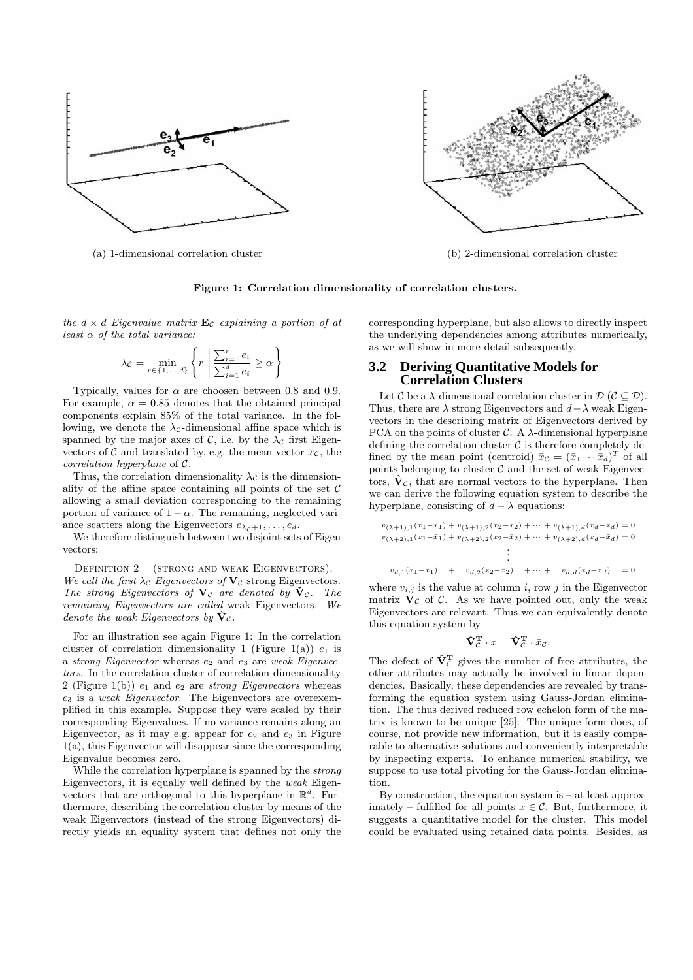

(a) 1-dimensional correlation cluster (b) 2-dimensional correlation cluster

**Figure 1: Correlation dimensionality of correlation clusters.**

*the*  $d \times d$  *Eigenvalue matrix*  $\mathbf{E}_c$  *explaining a portion of at least* α *of the total variance:*

$$
\lambda_{\mathcal{C}} = \min_{r \in \{1, \dots, d\}} \left\{ r \mid \frac{\sum_{i=1}^{r} e_i}{\sum_{i=1}^{d} e_i} \ge \alpha \right\}
$$

Typically, values for  $\alpha$  are choosen between 0.8 and 0.9. For example,  $\alpha = 0.85$  denotes that the obtained principal components explain 85% of the total variance. In the following, we denote the  $\lambda_c$ -dimensional affine space which is spanned by the major axes of C, i.e. by the  $\lambda_c$  first Eigenvectors of  $\mathcal C$  and translated by, e.g. the mean vector  $\bar x_{\mathcal C}$ , the *correlation hyperplane* of C.

Thus, the correlation dimensionality  $\lambda_c$  is the dimensionality of the affine space containing all points of the set  $\mathcal C$ allowing a small deviation corresponding to the remaining portion of variance of  $1 - \alpha$ . The remaining, neglected variance scatters along the Eigenvectors  $e_{\lambda_c+1},\ldots,e_d$ .

We therefore distinguish between two disjoint sets of Eigenvectors:

DEFINITION 2 (STRONG AND WEAK EIGENVECTORS). *We call the first*  $\lambda_c$  *Eigenvectors of*  $\mathbf{V}_c$  strong Eigenvectors. *The strong Eigenvectors of*  $V_c$  *are denoted by*  $\check{V}_c$ *. The remaining Eigenvectors are called* weak Eigenvectors*. We denote the weak Eigenvectors by*  $\hat{\mathbf{V}}_c$ *.* 

For an illustration see again Figure 1: In the correlation cluster of correlation dimensionality 1 (Figure 1(a))  $e_1$  is a *strong Eigenvector* whereas e<sup>2</sup> and e<sup>3</sup> are *weak Eigenvectors*. In the correlation cluster of correlation dimensionality 2 (Figure 1(b))  $e_1$  and  $e_2$  are *strong Eigenvectors* whereas e<sup>3</sup> is a *weak Eigenvector*. The Eigenvectors are overexemplified in this example. Suppose they were scaled by their corresponding Eigenvalues. If no variance remains along an Eigenvector, as it may e.g. appear for  $e_2$  and  $e_3$  in Figure 1(a), this Eigenvector will disappear since the corresponding Eigenvalue becomes zero.

While the correlation hyperplane is spanned by the *strong* Eigenvectors, it is equally well defined by the *weak* Eigenvectors that are orthogonal to this hyperplane in  $\mathbb{R}^d$ . Furthermore, describing the correlation cluster by means of the weak Eigenvectors (instead of the strong Eigenvectors) directly yields an equality system that defines not only the corresponding hyperplane, but also allows to directly inspect the underlying dependencies among attributes numerically, as we will show in more detail subsequently.

#### **3.2 Deriving Quantitative Models for Correlation Clusters**

Let C be a  $\lambda$ -dimensional correlation cluster in  $\mathcal{D}$  ( $\mathcal{C} \subseteq \mathcal{D}$ ). Thus, there are  $\lambda$  strong Eigenvectors and  $d-\lambda$  weak Eigenvectors in the describing matrix of Eigenvectors derived by PCA on the points of cluster  $\mathcal{C}$ . A  $\lambda$ -dimensional hyperplane defining the correlation cluster  $\mathcal C$  is therefore completely defined by the mean point (centroid)  $\bar{x}_c = (\bar{x}_1 \cdots \bar{x}_d)^T$  of all points belonging to cluster  $\mathcal C$  and the set of weak Eigenvectors,  $\hat{\mathbf{V}}_{\mathcal{C}}$ , that are normal vectors to the hyperplane. Then we can derive the following equation system to describe the hyperplane, consisting of  $d - \lambda$  equations:

$$
\begin{array}{l} v_{(\lambda+1),1}(x_1-\bar{x}_1)+v_{(\lambda+1),2}(x_2-\bar{x}_2)+\cdots+v_{(\lambda+1),d}(x_d-\bar{x}_d)=0\\ \\ v_{(\lambda+2),1}(x_1-\bar{x}_1)+v_{(\lambda+2),2}(x_2-\bar{x}_2)+\cdots+v_{(\lambda+2),d}(x_d-\bar{x}_d)=0\\ \\ \vdots \\ v_{d,1}(x_1-\bar{x}_1) \quad + \quad v_{d,2}(x_2-\bar{x}_2) \quad +\cdots+ \quad v_{d,d}(x_d-\bar{x}_d) \quad =0 \end{array}
$$

where  $v_{i,j}$  is the value at column i, row j in the Eigenvector matrix  $V_c$  of C. As we have pointed out, only the weak Eigenvectors are relevant. Thus we can equivalently denote this equation system by

$$
\mathbf{\hat{V}}_{\mathcal{C}}^{\mathbf{T}} \cdot x = \mathbf{\hat{V}}_{\mathcal{C}}^{\mathbf{T}} \cdot \bar{x}_{\mathcal{C}}.
$$

The defect of  $\hat{\mathbf{V}}_{\mathcal{C}}^{\mathbf{T}}$  gives the number of free attributes, the other attributes may actually be involved in linear dependencies. Basically, these dependencies are revealed by transforming the equation system using Gauss-Jordan elimination. The thus derived reduced row echelon form of the matrix is known to be unique [25]. The unique form does, of course, not provide new information, but it is easily comparable to alternative solutions and conveniently interpretable by inspecting experts. To enhance numerical stability, we suppose to use total pivoting for the Gauss-Jordan elimination.

By construction, the equation system is  $-$  at least approximately – fulfilled for all points  $x \in \mathcal{C}$ . But, furthermore, it suggests a quantitative model for the cluster. This model could be evaluated using retained data points. Besides, as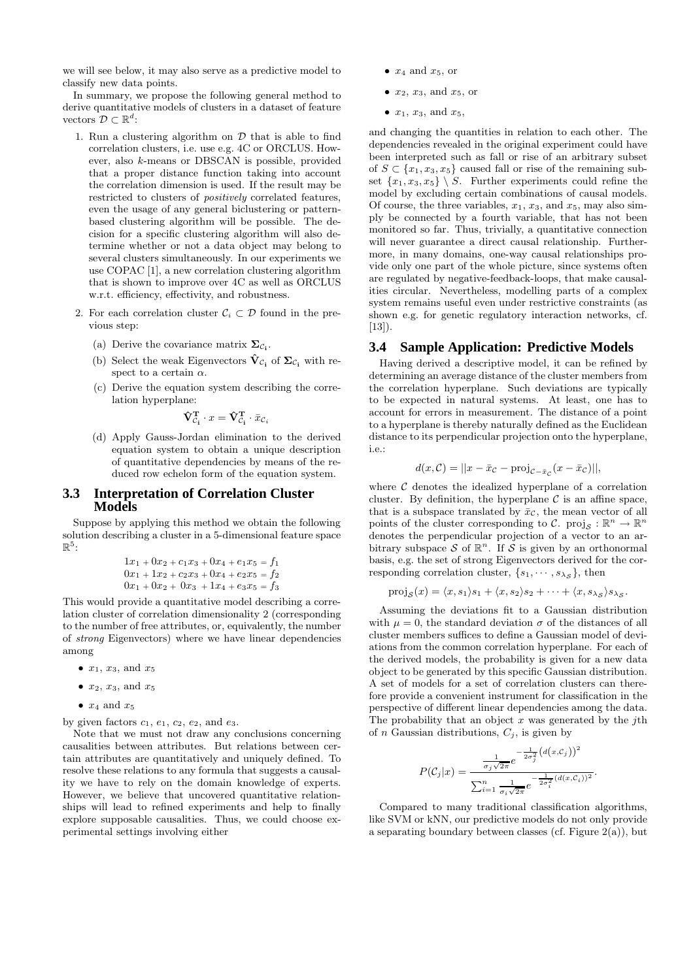we will see below, it may also serve as a predictive model to classify new data points.

In summary, we propose the following general method to derive quantitative models of clusters in a dataset of feature vectors  $\mathcal{D} \subset \mathbb{R}^d$ :

- 1. Run a clustering algorithm on  $\mathcal D$  that is able to find correlation clusters, i.e. use e.g. 4C or ORCLUS. However, also k-means or DBSCAN is possible, provided that a proper distance function taking into account the correlation dimension is used. If the result may be restricted to clusters of *positively* correlated features, even the usage of any general biclustering or patternbased clustering algorithm will be possible. The decision for a specific clustering algorithm will also determine whether or not a data object may belong to several clusters simultaneously. In our experiments we use COPAC [1], a new correlation clustering algorithm that is shown to improve over 4C as well as ORCLUS w.r.t. efficiency, effectivity, and robustness.
- 2. For each correlation cluster  $\mathcal{C}_i \subset \mathcal{D}$  found in the previous step:
	- (a) Derive the covariance matrix  $\Sigma_{\mathcal{C}_{i}}$ .
	- (b) Select the weak Eigenvectors  $\hat{\mathbf{V}}_{\mathcal{C}_i}$  of  $\Sigma_{\mathcal{C}_i}$  with respect to a certain  $\alpha$ .
	- (c) Derive the equation system describing the correlation hyperplane:

$$
\mathbf{\hat{V}}_{\mathcal{C}_{\mathbf{i}}}^{\mathbf{T}} \cdot x = \mathbf{\hat{V}}_{\mathcal{C}_{\mathbf{i}}}^{\mathbf{T}} \cdot \bar{x}_{\mathcal{C}_{i}}
$$

(d) Apply Gauss-Jordan elimination to the derived equation system to obtain a unique description of quantitative dependencies by means of the reduced row echelon form of the equation system.

# **3.3 Interpretation of Correlation Cluster Models**

Suppose by applying this method we obtain the following solution describing a cluster in a 5-dimensional feature space  $\mathbb{R}^5$ :

$$
1x_1 + 0x_2 + c_1x_3 + 0x_4 + e_1x_5 = f_1
$$
  
\n
$$
0x_1 + 1x_2 + c_2x_3 + 0x_4 + e_2x_5 = f_2
$$
  
\n
$$
0x_1 + 0x_2 + 0x_3 + 1x_4 + e_3x_5 = f_3
$$

This would provide a quantitative model describing a correlation cluster of correlation dimensionality 2 (corresponding to the number of free attributes, or, equivalently, the number of *strong* Eigenvectors) where we have linear dependencies among

- $x_1$ ,  $x_3$ , and  $x_5$
- $x_2$ ,  $x_3$ , and  $x_5$
- $x_4$  and  $x_5$

by given factors  $c_1$ ,  $e_1$ ,  $c_2$ ,  $e_2$ , and  $e_3$ .

Note that we must not draw any conclusions concerning causalities between attributes. But relations between certain attributes are quantitatively and uniquely defined. To resolve these relations to any formula that suggests a causality we have to rely on the domain knowledge of experts. However, we believe that uncovered quantitative relationships will lead to refined experiments and help to finally explore supposable causalities. Thus, we could choose experimental settings involving either

- $x_4$  and  $x_5$ , or
- $x_2$ ,  $x_3$ , and  $x_5$ , or
- $x_1, x_3, \text{ and } x_5,$

and changing the quantities in relation to each other. The dependencies revealed in the original experiment could have been interpreted such as fall or rise of an arbitrary subset of  $S \subset \{x_1, x_3, x_5\}$  caused fall or rise of the remaining subset  $\{x_1, x_3, x_5\} \setminus S$ . Further experiments could refine the model by excluding certain combinations of causal models. Of course, the three variables,  $x_1, x_3$ , and  $x_5$ , may also simply be connected by a fourth variable, that has not been monitored so far. Thus, trivially, a quantitative connection will never guarantee a direct causal relationship. Furthermore, in many domains, one-way causal relationships provide only one part of the whole picture, since systems often are regulated by negative-feedback-loops, that make causalities circular. Nevertheless, modelling parts of a complex system remains useful even under restrictive constraints (as shown e.g. for genetic regulatory interaction networks, cf. [13]).

## **3.4 Sample Application: Predictive Models**

Having derived a descriptive model, it can be refined by determining an average distance of the cluster members from the correlation hyperplane. Such deviations are typically to be expected in natural systems. At least, one has to account for errors in measurement. The distance of a point to a hyperplane is thereby naturally defined as the Euclidean distance to its perpendicular projection onto the hyperplane, i.e.:

$$
d(x, C) = ||x - \bar{x}_C - \text{proj}_{C - \bar{x}_C}(x - \bar{x}_C)||,
$$

where  $\mathcal C$  denotes the idealized hyperplane of a correlation cluster. By definition, the hyperplane  $\mathcal C$  is an affine space, that is a subspace translated by  $\bar{x}_{\mathcal{C}}$ , the mean vector of all points of the cluster corresponding to C. proj<sub>S</sub> :  $\mathbb{R}^n \to \mathbb{R}^n$ denotes the perpendicular projection of a vector to an arbitrary subspace S of  $\mathbb{R}^n$ . If S is given by an orthonormal basis, e.g. the set of strong Eigenvectors derived for the corresponding correlation cluster,  $\{s_1, \dots, s_{\lambda_S}\}\$ , then

$$
\text{proj}_{\mathcal{S}}(x) = \langle x, s_1 \rangle s_1 + \langle x, s_2 \rangle s_2 + \cdots + \langle x, s_{\lambda_{\mathcal{S}}}\rangle s_{\lambda_{\mathcal{S}}}.
$$

Assuming the deviations fit to a Gaussian distribution with  $\mu = 0$ , the standard deviation  $\sigma$  of the distances of all cluster members suffices to define a Gaussian model of deviations from the common correlation hyperplane. For each of the derived models, the probability is given for a new data object to be generated by this specific Gaussian distribution. A set of models for a set of correlation clusters can therefore provide a convenient instrument for classification in the perspective of different linear dependencies among the data. The probability that an object  $x$  was generated by the *j*th of n Gaussian distributions,  $C_i$ , is given by

$$
P(C_j|x) = \frac{\frac{1}{\sigma_j \sqrt{2\pi}} e^{-\frac{1}{2\sigma_j^2} (d(x, C_j))^2}}{\sum_{i=1}^n \frac{1}{\sigma_i \sqrt{2\pi}} e^{-\frac{1}{2\sigma_i^2} (d(x, C_i))^2}}.
$$

Compared to many traditional classification algorithms, like SVM or kNN, our predictive models do not only provide a separating boundary between classes (cf. Figure  $2(a)$ ), but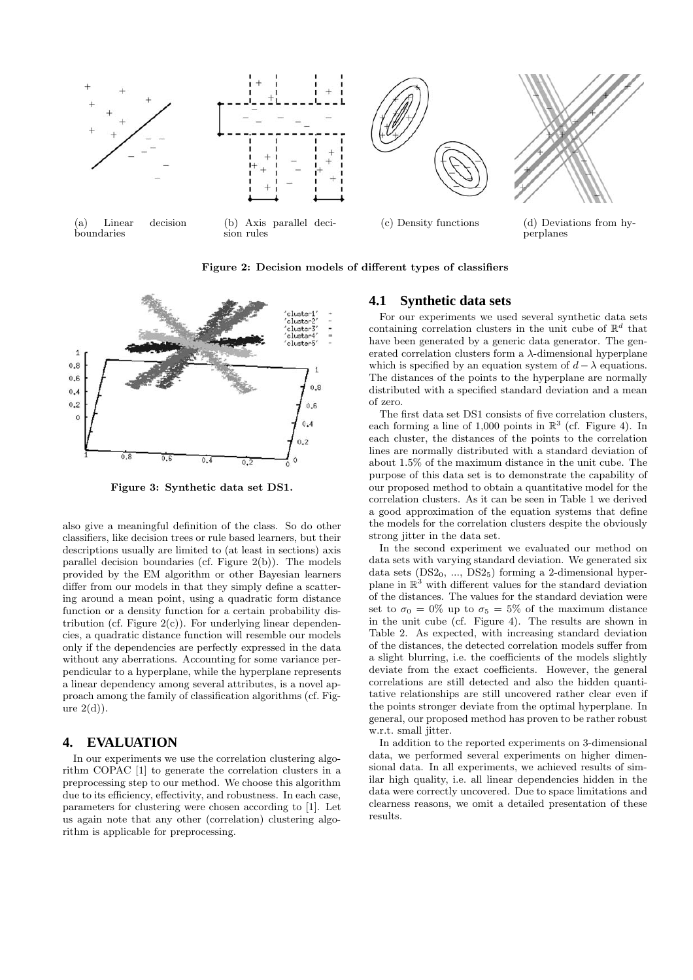

**Figure 2: Decision models of different types of classifiers**



**Figure 3: Synthetic data set DS1.**

also give a meaningful definition of the class. So do other classifiers, like decision trees or rule based learners, but their descriptions usually are limited to (at least in sections) axis parallel decision boundaries (cf. Figure 2(b)). The models provided by the EM algorithm or other Bayesian learners differ from our models in that they simply define a scattering around a mean point, using a quadratic form distance function or a density function for a certain probability distribution (cf. Figure  $2(c)$ ). For underlying linear dependencies, a quadratic distance function will resemble our models only if the dependencies are perfectly expressed in the data without any aberrations. Accounting for some variance perpendicular to a hyperplane, while the hyperplane represents a linear dependency among several attributes, is a novel approach among the family of classification algorithms (cf. Figure  $2(d)$ ).

#### **4. EVALUATION**

In our experiments we use the correlation clustering algorithm COPAC [1] to generate the correlation clusters in a preprocessing step to our method. We choose this algorithm due to its efficiency, effectivity, and robustness. In each case, parameters for clustering were chosen according to [1]. Let us again note that any other (correlation) clustering algorithm is applicable for preprocessing.

#### **4.1 Synthetic data sets**

For our experiments we used several synthetic data sets containing correlation clusters in the unit cube of  $\mathbb{R}^d$  that have been generated by a generic data generator. The generated correlation clusters form a  $\lambda$ -dimensional hyperplane which is specified by an equation system of  $d - \lambda$  equations. The distances of the points to the hyperplane are normally distributed with a specified standard deviation and a mean of zero.

The first data set DS1 consists of five correlation clusters, each forming a line of 1,000 points in  $\mathbb{R}^3$  (cf. Figure 4). In each cluster, the distances of the points to the correlation lines are normally distributed with a standard deviation of about 1.5% of the maximum distance in the unit cube. The purpose of this data set is to demonstrate the capability of our proposed method to obtain a quantitative model for the correlation clusters. As it can be seen in Table 1 we derived a good approximation of the equation systems that define the models for the correlation clusters despite the obviously strong jitter in the data set.

In the second experiment we evaluated our method on data sets with varying standard deviation. We generated six data sets  $(DS2_0, ..., DS2_5)$  forming a 2-dimensional hyperplane in  $\mathbb{R}^3$  with different values for the standard deviation of the distances. The values for the standard deviation were set to  $\sigma_0 = 0\%$  up to  $\sigma_5 = 5\%$  of the maximum distance in the unit cube (cf. Figure 4). The results are shown in Table 2. As expected, with increasing standard deviation of the distances, the detected correlation models suffer from a slight blurring, i.e. the coefficients of the models slightly deviate from the exact coefficients. However, the general correlations are still detected and also the hidden quantitative relationships are still uncovered rather clear even if the points stronger deviate from the optimal hyperplane. In general, our proposed method has proven to be rather robust w.r.t. small jitter.

In addition to the reported experiments on 3-dimensional data, we performed several experiments on higher dimensional data. In all experiments, we achieved results of similar high quality, i.e. all linear dependencies hidden in the data were correctly uncovered. Due to space limitations and clearness reasons, we omit a detailed presentation of these results.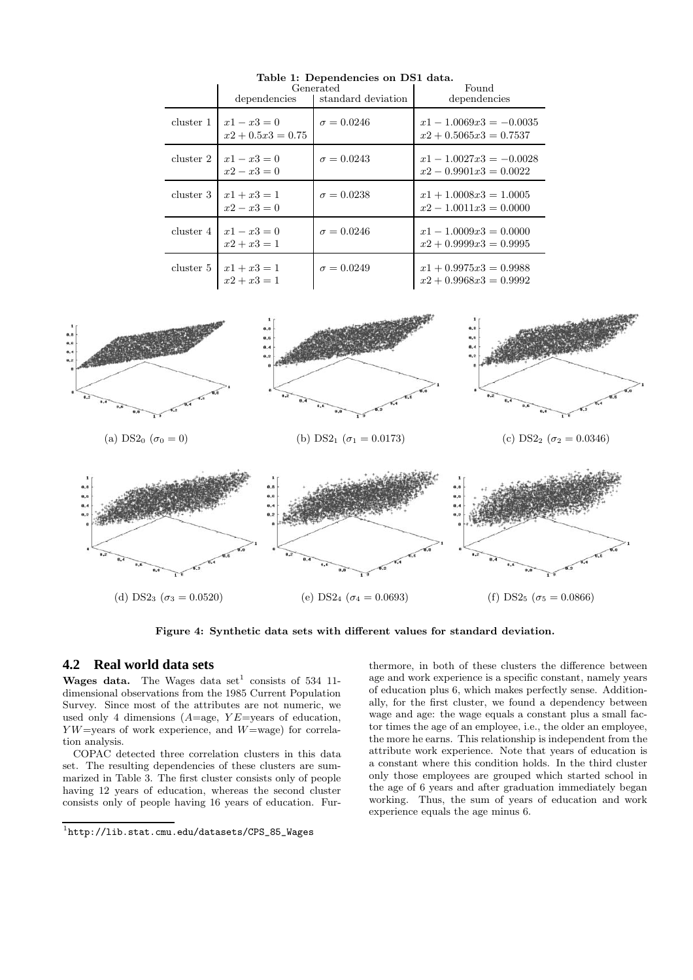|           | Generated<br>dependencies standard deviation | Found<br>dependencies |                                                       |  |
|-----------|----------------------------------------------|-----------------------|-------------------------------------------------------|--|
| cluster 1 | $x1 - x3 = 0$<br>$x^2 + 0.5x^3 = 0.75$       | $\sigma = 0.0246$     | $x1 - 1.0069x3 = -0.0035$<br>$x2 + 0.5065x3 = 0.7537$ |  |
| cluster 2 | $x1 - x3 = 0$<br>$x^2 - x^3 = 0$             | $\sigma = 0.0243$     | $x1 - 1.0027x3 = -0.0028$<br>$x2 - 0.9901x3 = 0.0022$ |  |
| cluster 3 | $x1 + x3 = 1$<br>$x^2 - x^3 = 0$             | $\sigma = 0.0238$     | $x1 + 1.0008x3 = 1.0005$<br>$x2 - 1.0011x3 = 0.0000$  |  |
| cluster 4 | $x1 - x3 = 0$<br>$x^2 + x^3 = 1$             | $\sigma = 0.0246$     | $x1 - 1.0009x3 = 0.0000$<br>$x2 + 0.9999x3 = 0.9995$  |  |
| cluster 5 | $x1 + x3 = 1$<br>$x^2 + x^3 = 1$             | $\sigma = 0.0249$     | $x1 + 0.9975x3 = 0.9988$<br>$x2 + 0.9968x3 = 0.9992$  |  |

**Table 1: Dependencies on DS1 data.**



**Figure 4: Synthetic data sets with different values for standard deviation.**

# **4.2 Real world data sets**

**Wages data.** The Wages data set<sup>1</sup> consists of 534 11dimensional observations from the 1985 Current Population Survey. Since most of the attributes are not numeric, we used only 4 dimensions ( $A=$ age,  $YE=$ years of education,  $YW = \text{years}$  of work experience, and  $W = \text{ wage}$  for correlation analysis.

COPAC detected three correlation clusters in this data set. The resulting dependencies of these clusters are summarized in Table 3. The first cluster consists only of people having 12 years of education, whereas the second cluster consists only of people having 16 years of education. Fur-

thermore, in both of these clusters the difference between age and work experience is a specific constant, namely years of education plus 6, which makes perfectly sense. Additionally, for the first cluster, we found a dependency between wage and age: the wage equals a constant plus a small factor times the age of an employee, i.e., the older an employee, the more he earns. This relationship is independent from the attribute work experience. Note that years of education is a constant where this condition holds. In the third cluster only those employees are grouped which started school in the age of 6 years and after graduation immediately began working. Thus, the sum of years of education and work experience equals the age minus 6.

<sup>1</sup>http://lib.stat.cmu.edu/datasets/CPS\_85\_Wages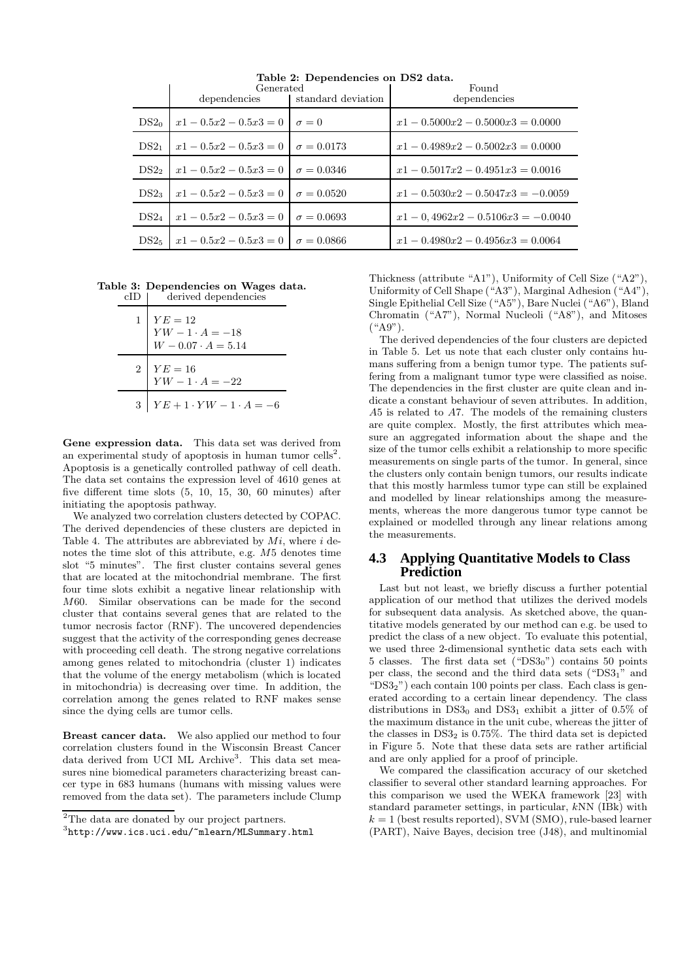|                  | Generated                                    |                    | Found                                |  |  |
|------------------|----------------------------------------------|--------------------|--------------------------------------|--|--|
|                  | dependencies                                 | standard deviation | dependencies                         |  |  |
| DS2 <sub>0</sub> | $x1 - 0.5x2 - 0.5x3 = 0$                     | $\sigma = 0$       | $x1 - 0.5000x2 - 0.5000x3 = 0.0000$  |  |  |
| DS2 <sub>1</sub> | $x1 - 0.5x2 - 0.5x3 = 0$   $\sigma = 0.0173$ |                    | $x1 - 0.4989x2 - 0.5002x3 = 0.0000$  |  |  |
| DS2 <sub>2</sub> | $x1 - 0.5x2 - 0.5x3 = 0$   $\sigma = 0.0346$ |                    | $x1 - 0.5017x2 - 0.4951x3 = 0.0016$  |  |  |
| DS2 <sub>3</sub> | $x1 - 0.5x2 - 0.5x3 = 0$   $\sigma = 0.0520$ |                    | $x1 - 0.5030x2 - 0.5047x3 = -0.0059$ |  |  |
| DS2 <sub>4</sub> | $x1 - 0.5x2 - 0.5x3 = 0$   $\sigma = 0.0693$ |                    | $x1 - 0.4962x2 - 0.5106x3 = -0.0040$ |  |  |
| DS2 <sub>5</sub> | $x1 - 0.5x2 - 0.5x3 = 0$   $\sigma = 0.0866$ |                    | $x1 - 0.4980x2 - 0.4956x3 = 0.0064$  |  |  |

**Table 2: Dependencies on DS2 data.**

**Table 3: Dependencies on Wages data.** cID derived dependencies

|   | $YE = 12$<br>$YW - 1 \cdot A = -18$<br>$W - 0.07 \cdot A = 5.14$ |
|---|------------------------------------------------------------------|
|   | $YE = 16$<br>$YW - 1 \cdot A = -22$                              |
| 3 | $YE + 1 \cdot YW - 1 \cdot A = -6$                               |

**Gene expression data.** This data set was derived from an experimental study of apoptosis in human tumor cells<sup>2</sup>. Apoptosis is a genetically controlled pathway of cell death. The data set contains the expression level of 4610 genes at five different time slots (5, 10, 15, 30, 60 minutes) after initiating the apoptosis pathway.

We analyzed two correlation clusters detected by COPAC. The derived dependencies of these clusters are depicted in Table 4. The attributes are abbreviated by  $Mi$ , where  $i$  denotes the time slot of this attribute, e.g. M5 denotes time slot "5 minutes". The first cluster contains several genes that are located at the mitochondrial membrane. The first four time slots exhibit a negative linear relationship with M60. Similar observations can be made for the second cluster that contains several genes that are related to the tumor necrosis factor (RNF). The uncovered dependencies suggest that the activity of the corresponding genes decrease with proceeding cell death. The strong negative correlations among genes related to mitochondria (cluster 1) indicates that the volume of the energy metabolism (which is located in mitochondria) is decreasing over time. In addition, the correlation among the genes related to RNF makes sense since the dying cells are tumor cells.

**Breast cancer data.** We also applied our method to four correlation clusters found in the Wisconsin Breast Cancer data derived from UCI ML Archive<sup>3</sup>. This data set measures nine biomedical parameters characterizing breast cancer type in 683 humans (humans with missing values were removed from the data set). The parameters include Clump Thickness (attribute "A1"), Uniformity of Cell Size ("A2"), Uniformity of Cell Shape ("A3"), Marginal Adhesion ("A4"), Single Epithelial Cell Size ("A5"), Bare Nuclei ("A6"), Bland Chromatin ("A7"), Normal Nucleoli ("A8"), and Mitoses  $(*A9").$ 

The derived dependencies of the four clusters are depicted in Table 5. Let us note that each cluster only contains humans suffering from a benign tumor type. The patients suffering from a malignant tumor type were classified as noise. The dependencies in the first cluster are quite clean and indicate a constant behaviour of seven attributes. In addition, A5 is related to A7. The models of the remaining clusters are quite complex. Mostly, the first attributes which measure an aggregated information about the shape and the size of the tumor cells exhibit a relationship to more specific measurements on single parts of the tumor. In general, since the clusters only contain benign tumors, our results indicate that this mostly harmless tumor type can still be explained and modelled by linear relationships among the measurements, whereas the more dangerous tumor type cannot be explained or modelled through any linear relations among the measurements.

## **4.3 Applying Quantitative Models to Class Prediction**

Last but not least, we briefly discuss a further potential application of our method that utilizes the derived models for subsequent data analysis. As sketched above, the quantitative models generated by our method can e.g. be used to predict the class of a new object. To evaluate this potential, we used three 2-dimensional synthetic data sets each with 5 classes. The first data set  $($ "DS $3<sub>0</sub>$ " $)$  contains 50 points per class, the second and the third data sets ("DS31" and "DS32") each contain 100 points per class. Each class is generated according to a certain linear dependency. The class distributions in  $DS3<sub>0</sub>$  and  $DS3<sub>1</sub>$  exhibit a jitter of 0.5% of the maximum distance in the unit cube, whereas the jitter of the classes in  $DS3<sub>2</sub>$  is 0.75%. The third data set is depicted in Figure 5. Note that these data sets are rather artificial and are only applied for a proof of principle.

We compared the classification accuracy of our sketched classifier to several other standard learning approaches. For this comparison we used the WEKA framework [23] with standard parameter settings, in particular, kNN (IBk) with  $k = 1$  (best results reported), SVM (SMO), rule-based learner (PART), Naive Bayes, decision tree (J48), and multinomial

<sup>&</sup>lt;sup>2</sup>The data are donated by our project partners.

<sup>3</sup>http://www.ics.uci.edu/~mlearn/MLSummary.html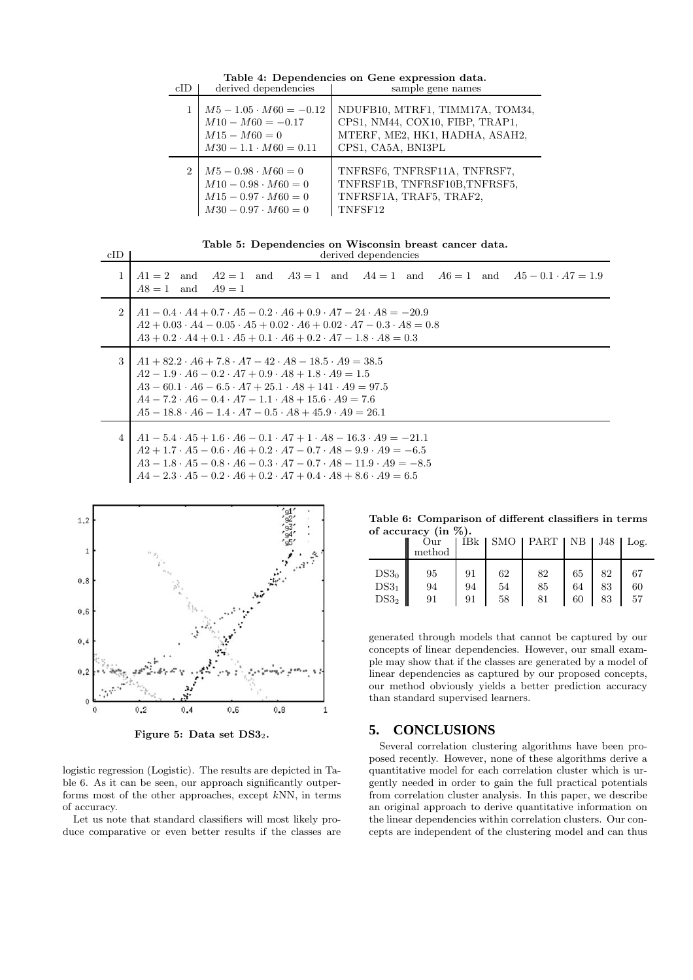**Table 4: Dependencies on Gene expression data.**<br>erived dependencies | sample gene names  $cID$  derived dependencies  $\blacksquare$ 

|                             | $M5 - 1.05 \cdot M60 = -0.12$<br>$M10 - M60 = -0.17$<br>$M15 - M60 = 0$<br>$M30 - 1.1 \cdot M60 = 0.11$             | NDUFB10, MTRF1, TIMM17A, TOM34,<br>CPS1, NM44, COX10, FIBP, TRAP1,<br>MTERF, ME2, HK1, HADHA, ASAH2,<br>CPS1, CA5A, BNI3PL |
|-----------------------------|---------------------------------------------------------------------------------------------------------------------|----------------------------------------------------------------------------------------------------------------------------|
| $\mathcal{D}_{\mathcal{L}}$ | $M5 - 0.98 \cdot M60 = 0$<br>$M10 - 0.98 \cdot M60 = 0$<br>$M15 - 0.97 \cdot M60 = 0$<br>$M30 - 0.97 \cdot M60 = 0$ | TNFRSF6, TNFRSF11A, TNFRSF7,<br>TNFRSF1B, TNFRSF10B, TNFRSF5,<br>TNFRSF1A, TRAF5, TRAF2,<br>TNFSF12                        |

**Table 5: Dependencies on Wisconsin breast cancer data.** cID derived dependencies

|                | $A2 = 1$ and $A3 = 1$ and $A4 = 1$ and $A6 = 1$ and $A5 - 0.1 \cdot A7 = 1.9$<br>$A1 \equiv 2$ and                                                                                                                                                                                                                                                                                      |
|----------------|-----------------------------------------------------------------------------------------------------------------------------------------------------------------------------------------------------------------------------------------------------------------------------------------------------------------------------------------------------------------------------------------|
|                | $A9 = 1$<br>$A8 = 1$<br>and                                                                                                                                                                                                                                                                                                                                                             |
| $\overline{2}$ | $A1 - 0.4 \cdot A4 + 0.7 \cdot A5 - 0.2 \cdot A6 + 0.9 \cdot A7 - 24 \cdot A8 = -20.9$<br>$A2 + 0.03 \cdot A4 - 0.05 \cdot A5 + 0.02 \cdot A6 + 0.02 \cdot A7 - 0.3 \cdot A8 = 0.8$<br>$A3 + 0.2 \cdot A4 + 0.1 \cdot A5 + 0.1 \cdot A6 + 0.2 \cdot A7 - 1.8 \cdot A8 = 0.3$                                                                                                            |
| 3              | $A1 + 82.2 \cdot A6 + 7.8 \cdot A7 - 42 \cdot A8 - 18.5 \cdot A9 = 38.5$<br>$A2 - 1.9 \cdot A6 - 0.2 \cdot A7 + 0.9 \cdot A8 + 1.8 \cdot A9 = 1.5$<br>$A3 - 60.1 \cdot A6 - 6.5 \cdot A7 + 25.1 \cdot A8 + 141 \cdot A9 = 97.5$<br>$A4 - 7.2 \cdot A6 - 0.4 \cdot A7 - 1.1 \cdot A8 + 15.6 \cdot A9 = 7.6$<br>$A5 - 18.8 \cdot A6 - 1.4 \cdot A7 - 0.5 \cdot A8 + 45.9 \cdot A9 = 26.1$ |
| 4              | $A1 - 5.4 \cdot A5 + 1.6 \cdot A6 - 0.1 \cdot A7 + 1 \cdot A8 - 16.3 \cdot A9 = -21.1$<br>$A2 + 1.7 \cdot A5 - 0.6 \cdot A6 + 0.2 \cdot A7 - 0.7 \cdot A8 - 9.9 \cdot A9 = -6.5$<br>$A3 - 1.8 \cdot A5 - 0.8 \cdot A6 - 0.3 \cdot A7 - 0.7 \cdot A8 - 11.9 \cdot A9 = -8.5$<br>$A4 - 2.3 \cdot A5 - 0.2 \cdot A6 + 0.2 \cdot A7 + 0.4 \cdot A8 + 8.6 \cdot A9 = 6.5$                    |



**Figure 5: Data set DS3**2**.**

logistic regression (Logistic). The results are depicted in Table 6. As it can be seen, our approach significantly outperforms most of the other approaches, except kNN, in terms of accuracy.

Let us note that standard classifiers will most likely produce comparative or even better results if the classes are

**Table 6: Comparison of different classifiers in terms of accuracy (in %).**

|                  | Our<br>method | IBk | <b>SMO</b> | <b>PART</b> | $_{\rm NB}$ | J48 | Log. |
|------------------|---------------|-----|------------|-------------|-------------|-----|------|
| DS3 <sub>0</sub> | 95            | 91  | 62         | 82          | 65          | 82  | 67   |
| DS3 <sub>1</sub> | 94            | 94  | 54         | 85          | 64          | 83  | 60   |
| DS3 <sub>2</sub> | 91            | 91  | 58         | 81          | 60          | 83  | 57   |

generated through models that cannot be captured by our concepts of linear dependencies. However, our small example may show that if the classes are generated by a model of linear dependencies as captured by our proposed concepts, our method obviously yields a better prediction accuracy than standard supervised learners.

## **5. CONCLUSIONS**

Several correlation clustering algorithms have been proposed recently. However, none of these algorithms derive a quantitative model for each correlation cluster which is urgently needed in order to gain the full practical potentials from correlation cluster analysis. In this paper, we describe an original approach to derive quantitative information on the linear dependencies within correlation clusters. Our concepts are independent of the clustering model and can thus